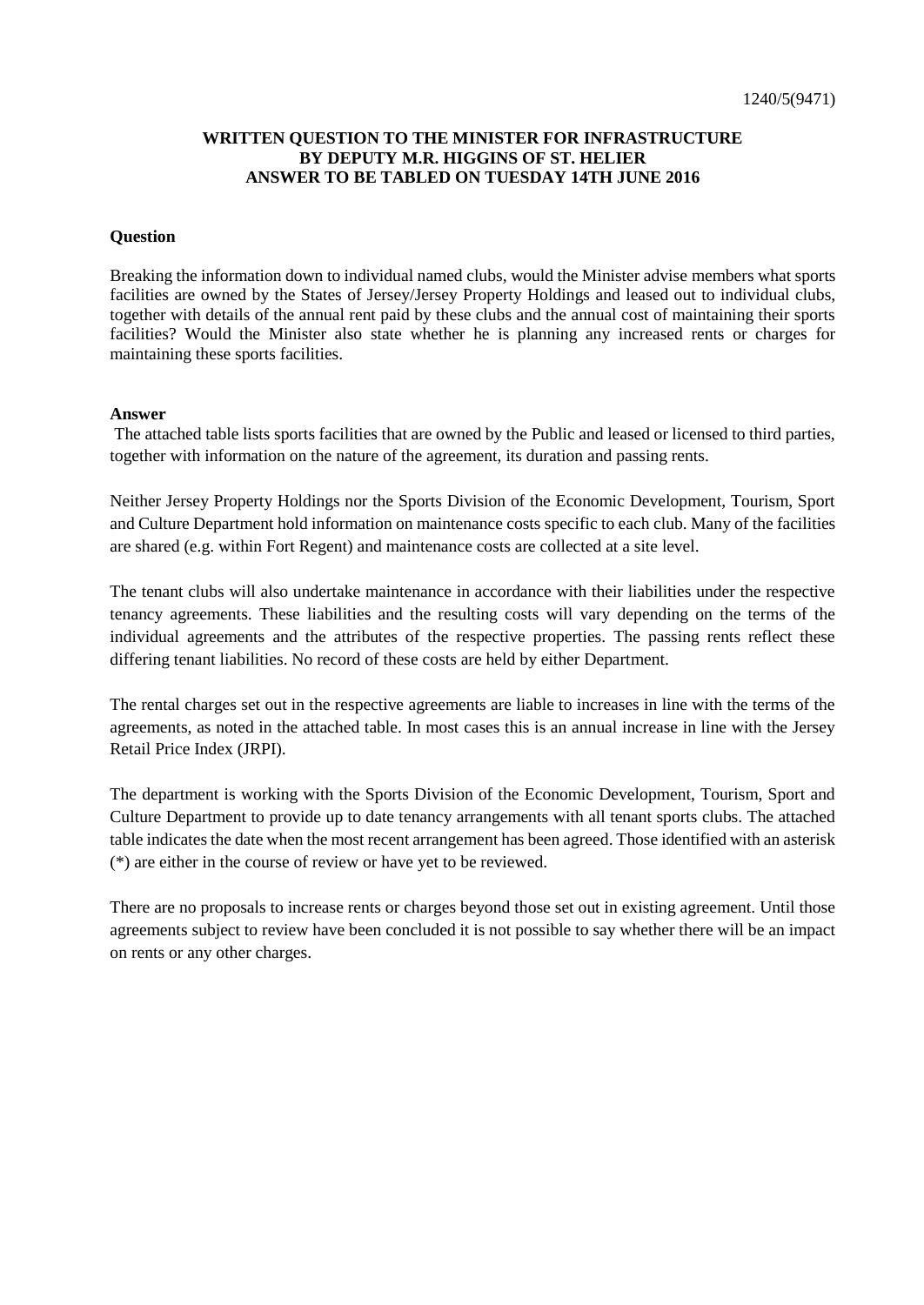## **WRITTEN QUESTION TO THE MINISTER FOR INFRASTRUCTURE BY DEPUTY M.R. HIGGINS OF ST. HELIER ANSWER TO BE TABLED ON TUESDAY 14TH JUNE 2016**

## **Question**

Breaking the information down to individual named clubs, would the Minister advise members what sports facilities are owned by the States of Jersey/Jersey Property Holdings and leased out to individual clubs, together with details of the annual rent paid by these clubs and the annual cost of maintaining their sports facilities? Would the Minister also state whether he is planning any increased rents or charges for maintaining these sports facilities.

## **Answer**

The attached table lists sports facilities that are owned by the Public and leased or licensed to third parties, together with information on the nature of the agreement, its duration and passing rents.

Neither Jersey Property Holdings nor the Sports Division of the Economic Development, Tourism, Sport and Culture Department hold information on maintenance costs specific to each club. Many of the facilities are shared (e.g. within Fort Regent) and maintenance costs are collected at a site level.

The tenant clubs will also undertake maintenance in accordance with their liabilities under the respective tenancy agreements. These liabilities and the resulting costs will vary depending on the terms of the individual agreements and the attributes of the respective properties. The passing rents reflect these differing tenant liabilities. No record of these costs are held by either Department.

The rental charges set out in the respective agreements are liable to increases in line with the terms of the agreements, as noted in the attached table. In most cases this is an annual increase in line with the Jersey Retail Price Index (JRPI).

The department is working with the Sports Division of the Economic Development, Tourism, Sport and Culture Department to provide up to date tenancy arrangements with all tenant sports clubs. The attached table indicates the date when the most recent arrangement has been agreed. Those identified with an asterisk (\*) are either in the course of review or have yet to be reviewed.

There are no proposals to increase rents or charges beyond those set out in existing agreement. Until those agreements subject to review have been concluded it is not possible to say whether there will be an impact on rents or any other charges.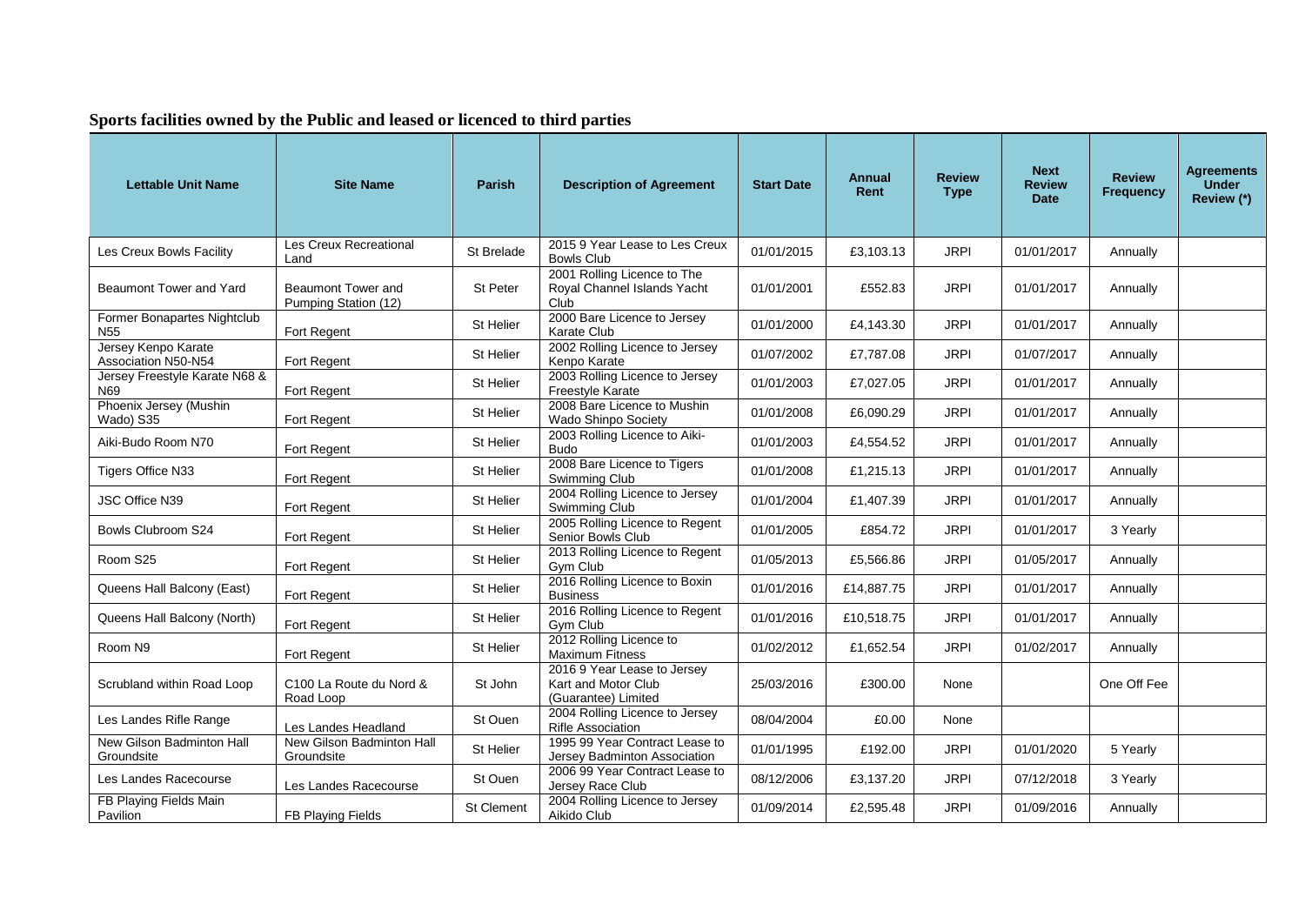## **Sports facilities owned by the Public and leased or licenced to third parties**

| <b>Lettable Unit Name</b>                      | <b>Site Name</b>                                  | <b>Parish</b>     | <b>Description of Agreement</b>                                           | <b>Start Date</b> | Annual<br>Rent | <b>Review</b><br><b>Type</b> | <b>Next</b><br><b>Review</b><br><b>Date</b> | <b>Review</b><br><b>Frequency</b> | <b>Agreements</b><br><b>Under</b><br>Review (*) |
|------------------------------------------------|---------------------------------------------------|-------------------|---------------------------------------------------------------------------|-------------------|----------------|------------------------------|---------------------------------------------|-----------------------------------|-------------------------------------------------|
| Les Creux Bowls Facility                       | Les Creux Recreational<br>Land                    | St Brelade        | 2015 9 Year Lease to Les Creux<br><b>Bowls Club</b>                       | 01/01/2015        | £3,103.13      | <b>JRPI</b>                  | 01/01/2017                                  | Annually                          |                                                 |
| Beaumont Tower and Yard                        | <b>Beaumont Tower and</b><br>Pumping Station (12) | St Peter          | 2001 Rolling Licence to The<br>Royal Channel Islands Yacht<br>Club        | 01/01/2001        | £552.83        | <b>JRPI</b>                  | 01/01/2017                                  | Annually                          |                                                 |
| Former Bonapartes Nightclub<br>N <sub>55</sub> | Fort Regent                                       | St Helier         | 2000 Bare Licence to Jersey<br>Karate Club                                | 01/01/2000        | £4.143.30      | <b>JRPI</b>                  | 01/01/2017                                  | Annually                          |                                                 |
| Jersey Kenpo Karate<br>Association N50-N54     | Fort Regent                                       | St Helier         | 2002 Rolling Licence to Jersey<br>Kenpo Karate                            | 01/07/2002        | £7,787.08      | <b>JRPI</b>                  | 01/07/2017                                  | Annually                          |                                                 |
| Jersey Freestyle Karate N68 &<br>N69           | Fort Regent                                       | St Helier         | 2003 Rolling Licence to Jersey<br>Freestyle Karate                        | 01/01/2003        | £7,027.05      | <b>JRPI</b>                  | 01/01/2017                                  | Annually                          |                                                 |
| Phoenix Jersey (Mushin<br>Wado) S35            | Fort Regent                                       | St Helier         | 2008 Bare Licence to Mushin<br>Wado Shinpo Society                        | 01/01/2008        | £6,090.29      | <b>JRPI</b>                  | 01/01/2017                                  | Annually                          |                                                 |
| Aiki-Budo Room N70                             | Fort Regent                                       | St Helier         | 2003 Rolling Licence to Aiki-<br><b>Budo</b>                              | 01/01/2003        | £4,554.52      | <b>JRPI</b>                  | 01/01/2017                                  | Annually                          |                                                 |
| Tigers Office N33                              | Fort Regent                                       | St Helier         | 2008 Bare Licence to Tigers<br>Swimming Club                              | 01/01/2008        | £1,215.13      | <b>JRPI</b>                  | 01/01/2017                                  | Annually                          |                                                 |
| JSC Office N39                                 | Fort Regent                                       | St Helier         | 2004 Rolling Licence to Jersey<br>Swimming Club                           | 01/01/2004        | £1,407.39      | <b>JRPI</b>                  | 01/01/2017                                  | Annually                          |                                                 |
| Bowls Clubroom S24                             | Fort Regent                                       | St Helier         | 2005 Rolling Licence to Regent<br>Senior Bowls Club                       | 01/01/2005        | £854.72        | <b>JRPI</b>                  | 01/01/2017                                  | 3 Yearly                          |                                                 |
| Room S25                                       | Fort Regent                                       | St Helier         | 2013 Rolling Licence to Regent<br>Gym Club                                | 01/05/2013        | £5,566.86      | <b>JRPI</b>                  | 01/05/2017                                  | Annually                          |                                                 |
| Queens Hall Balcony (East)                     | Fort Regent                                       | St Helier         | 2016 Rolling Licence to Boxin<br><b>Business</b>                          | 01/01/2016        | £14,887.75     | <b>JRPI</b>                  | 01/01/2017                                  | Annually                          |                                                 |
| Queens Hall Balcony (North)                    | Fort Regent                                       | St Helier         | 2016 Rolling Licence to Regent<br>Gym Club                                | 01/01/2016        | £10,518.75     | <b>JRPI</b>                  | 01/01/2017                                  | Annually                          |                                                 |
| Room N9                                        | Fort Regent                                       | St Helier         | 2012 Rolling Licence to<br>Maximum Fitness                                | 01/02/2012        | £1,652.54      | <b>JRPI</b>                  | 01/02/2017                                  | Annually                          |                                                 |
| Scrubland within Road Loop                     | C100 La Route du Nord &<br>Road Loop              | St John           | 2016 9 Year Lease to Jersey<br>Kart and Motor Club<br>(Guarantee) Limited | 25/03/2016        | £300.00        | None                         |                                             | One Off Fee                       |                                                 |
| Les Landes Rifle Range                         | Les Landes Headland                               | St Ouen           | 2004 Rolling Licence to Jersey<br>Rifle Association                       | 08/04/2004        | £0.00          | None                         |                                             |                                   |                                                 |
| New Gilson Badminton Hall<br>Groundsite        | New Gilson Badminton Hall<br>Groundsite           | St Helier         | 1995 99 Year Contract Lease to<br>Jersey Badminton Association            | 01/01/1995        | £192.00        | <b>JRPI</b>                  | 01/01/2020                                  | 5 Yearly                          |                                                 |
| Les Landes Racecourse                          | Les Landes Racecourse                             | St Ouen           | 2006 99 Year Contract Lease to<br>Jersey Race Club                        | 08/12/2006        | £3,137.20      | <b>JRPI</b>                  | 07/12/2018                                  | 3 Yearly                          |                                                 |
| FB Playing Fields Main<br>Pavilion             | FB Playing Fields                                 | <b>St Clement</b> | 2004 Rolling Licence to Jersey<br>Aikido Club                             | 01/09/2014        | £2,595.48      | <b>JRPI</b>                  | 01/09/2016                                  | Annually                          |                                                 |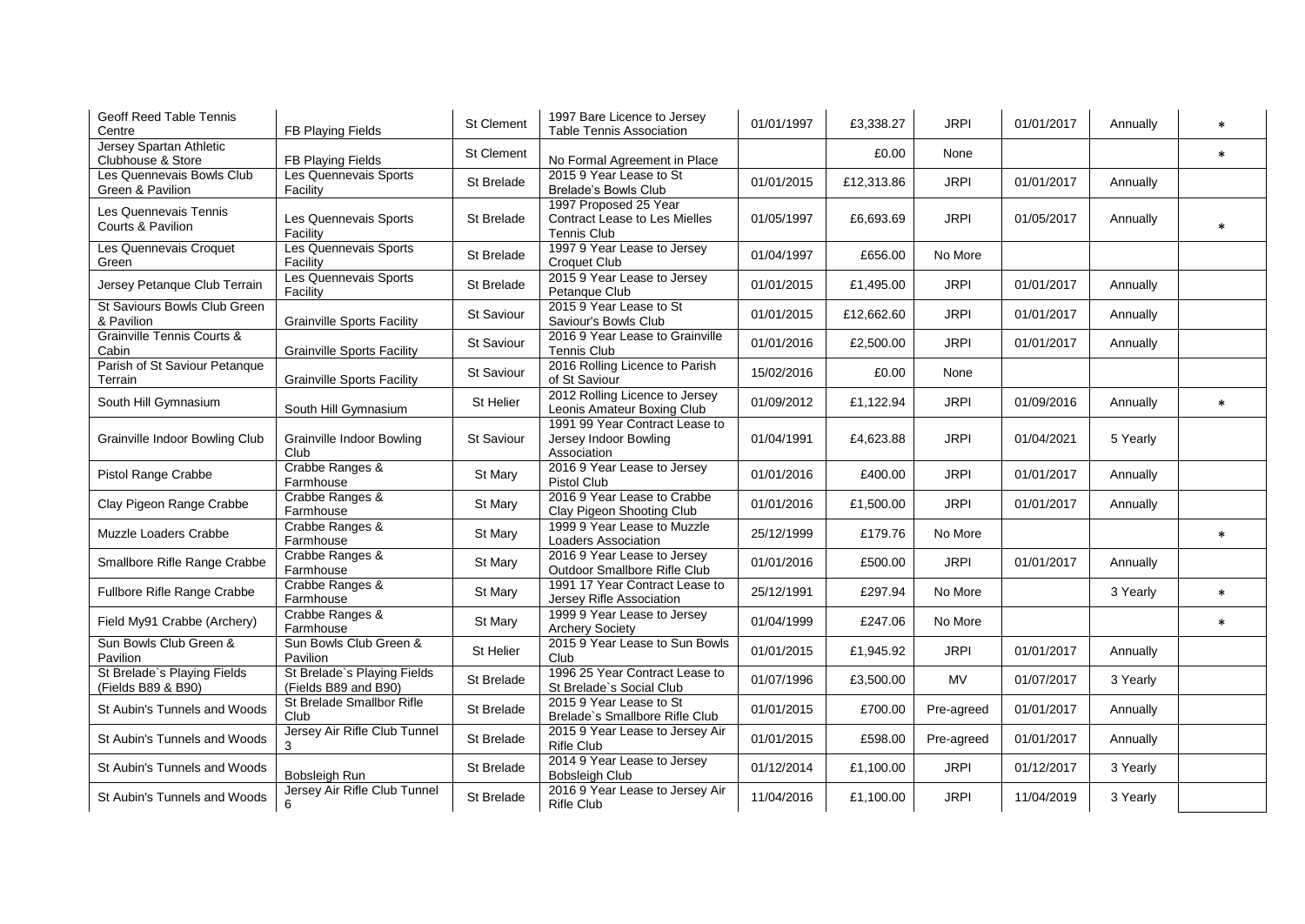| Geoff Reed Table Tennis<br>Centre                 | FB Playing Fields                                   | St Clement        | 1997 Bare Licence to Jersey<br><b>Table Tennis Association</b>         | 01/01/1997 | £3,338.27  | <b>JRPI</b> | 01/01/2017 | Annually | $\ast$ |
|---------------------------------------------------|-----------------------------------------------------|-------------------|------------------------------------------------------------------------|------------|------------|-------------|------------|----------|--------|
| Jersey Spartan Athletic<br>Clubhouse & Store      | FB Playing Fields                                   | <b>St Clement</b> | No Formal Agreement in Place                                           |            | £0.00      | None        |            |          | $\ast$ |
| Les Quennevais Bowls Club<br>Green & Pavilion     | Les Quennevais Sports<br>Facility                   | St Brelade        | 2015 9 Year Lease to St<br><b>Brelade's Bowls Club</b>                 | 01/01/2015 | £12,313.86 | <b>JRPI</b> | 01/01/2017 | Annually |        |
| Les Quennevais Tennis<br>Courts & Pavilion        | Les Quennevais Sports<br>Facility                   | St Brelade        | 1997 Proposed 25 Year<br>Contract Lease to Les Mielles<br>Tennis Club  | 01/05/1997 | £6,693.69  | <b>JRPI</b> | 01/05/2017 | Annually | $\ast$ |
| Les Quennevais Croquet<br>Green                   | Les Quennevais Sports<br>Facility                   | St Brelade        | 1997 9 Year Lease to Jersey<br>Croquet Club                            | 01/04/1997 | £656.00    | No More     |            |          |        |
| Jersey Petanque Club Terrain                      | Les Quennevais Sports<br>Facility                   | St Brelade        | 2015 9 Year Lease to Jersey<br>Petanque Club                           | 01/01/2015 | £1,495.00  | <b>JRPI</b> | 01/01/2017 | Annually |        |
| St Saviours Bowls Club Green<br>& Pavilion        | <b>Grainville Sports Facility</b>                   | St Saviour        | 2015 9 Year Lease to St<br>Saviour's Bowls Club                        | 01/01/2015 | £12,662.60 | <b>JRPI</b> | 01/01/2017 | Annually |        |
| <b>Grainville Tennis Courts &amp;</b><br>Cabin    | <b>Grainville Sports Facility</b>                   | St Saviour        | 2016 9 Year Lease to Grainville<br><b>Tennis Club</b>                  | 01/01/2016 | £2,500.00  | <b>JRPI</b> | 01/01/2017 | Annually |        |
| Parish of St Saviour Petanque<br>Terrain          | <b>Grainville Sports Facility</b>                   | St Saviour        | 2016 Rolling Licence to Parish<br>of St Saviour                        | 15/02/2016 | £0.00      | None        |            |          |        |
| South Hill Gymnasium                              | South Hill Gymnasium                                | St Helier         | 2012 Rolling Licence to Jersey<br>Leonis Amateur Boxing Club           | 01/09/2012 | £1,122.94  | <b>JRPI</b> | 01/09/2016 | Annually | $\ast$ |
| Grainville Indoor Bowling Club                    | Grainville Indoor Bowling<br>Club                   | St Saviour        | 1991 99 Year Contract Lease to<br>Jersey Indoor Bowling<br>Association | 01/04/1991 | £4,623.88  | <b>JRPI</b> | 01/04/2021 | 5 Yearly |        |
| Pistol Range Crabbe                               | Crabbe Ranges &<br>Farmhouse                        | St Mary           | 2016 9 Year Lease to Jersey<br><b>Pistol Club</b>                      | 01/01/2016 | £400.00    | <b>JRPI</b> | 01/01/2017 | Annually |        |
| Clay Pigeon Range Crabbe                          | Crabbe Ranges &<br>Farmhouse                        | St Mary           | 2016 9 Year Lease to Crabbe<br>Clay Pigeon Shooting Club               | 01/01/2016 | £1,500.00  | <b>JRPI</b> | 01/01/2017 | Annually |        |
| Muzzle Loaders Crabbe                             | Crabbe Ranges &<br>Farmhouse                        | St Mary           | 1999 9 Year Lease to Muzzle<br><b>Loaders Association</b>              | 25/12/1999 | £179.76    | No More     |            |          | $\ast$ |
| Smallbore Rifle Range Crabbe                      | Crabbe Ranges &<br>Farmhouse                        | St Mary           | 2016 9 Year Lease to Jersey<br>Outdoor Smallbore Rifle Club            | 01/01/2016 | £500.00    | <b>JRPI</b> | 01/01/2017 | Annually |        |
| Fullbore Rifle Range Crabbe                       | Crabbe Ranges &<br>Farmhouse                        | St Mary           | 1991 17 Year Contract Lease to<br>Jersey Rifle Association             | 25/12/1991 | £297.94    | No More     |            | 3 Yearly | $\ast$ |
| Field My91 Crabbe (Archery)                       | Crabbe Ranges &<br>Farmhouse                        | St Mary           | 1999 9 Year Lease to Jersey<br><b>Archery Society</b>                  | 01/04/1999 | £247.06    | No More     |            |          | $\ast$ |
| Sun Bowls Club Green &<br>Pavilion                | Sun Bowls Club Green &<br>Pavilion                  | St Helier         | 2015 9 Year Lease to Sun Bowls<br>Club                                 | 01/01/2015 | £1,945.92  | <b>JRPI</b> | 01/01/2017 | Annually |        |
| St Brelade's Playing Fields<br>(Fields B89 & B90) | St Brelade's Playing Fields<br>(Fields B89 and B90) | St Brelade        | 1996 25 Year Contract Lease to<br>St Brelade's Social Club             | 01/07/1996 | £3,500.00  | <b>MV</b>   | 01/07/2017 | 3 Yearly |        |
| St Aubin's Tunnels and Woods                      | St Brelade Smallbor Rifle<br>Club                   | St Brelade        | 2015 9 Year Lease to St<br>Brelade's Smallbore Rifle Club              | 01/01/2015 | £700.00    | Pre-agreed  | 01/01/2017 | Annually |        |
| St Aubin's Tunnels and Woods                      | Jersey Air Rifle Club Tunnel<br>3                   | St Brelade        | 2015 9 Year Lease to Jersey Air<br>Rifle Club                          | 01/01/2015 | £598.00    | Pre-agreed  | 01/01/2017 | Annually |        |
| St Aubin's Tunnels and Woods                      | Bobsleigh Run                                       | St Brelade        | 2014 9 Year Lease to Jersey<br><b>Bobsleigh Club</b>                   | 01/12/2014 | £1,100.00  | <b>JRPI</b> | 01/12/2017 | 3 Yearly |        |
| St Aubin's Tunnels and Woods                      | Jersey Air Rifle Club Tunnel<br>6                   | St Brelade        | 2016 9 Year Lease to Jersey Air<br><b>Rifle Club</b>                   | 11/04/2016 | £1,100.00  | <b>JRPI</b> | 11/04/2019 | 3 Yearly |        |